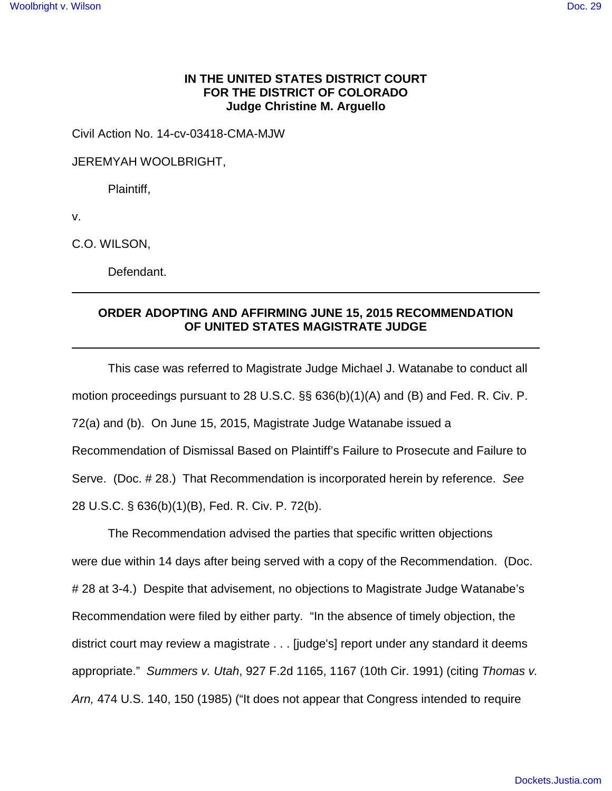## **IN THE UNITED STATES DISTRICT COURT FOR THE DISTRICT OF COLORADO Judge Christine M. Arguello**

Civil Action No. 14-cv-03418-CMA-MJW

JEREMYAH WOOLBRIGHT,

Plaintiff,

v.

C.O. WILSON,

Defendant.

## **ORDER ADOPTING AND AFFIRMING JUNE 15, 2015 RECOMMENDATION OF UNITED STATES MAGISTRATE JUDGE**

This case was referred to Magistrate Judge Michael J. Watanabe to conduct all motion proceedings pursuant to 28 U.S.C. §§ 636(b)(1)(A) and (B) and Fed. R. Civ. P. 72(a) and (b). On June 15, 2015, Magistrate Judge Watanabe issued a Recommendation of Dismissal Based on Plaintiff's Failure to Prosecute and Failure to Serve. (Doc. # 28.) That Recommendation is incorporated herein by reference. See 28 U.S.C. § 636(b)(1)(B), Fed. R. Civ. P. 72(b).

The Recommendation advised the parties that specific written objections were due within 14 days after being served with a copy of the Recommendation. (Doc. # 28 at 3-4.) Despite that advisement, no objections to Magistrate Judge Watanabe's Recommendation were filed by either party. "In the absence of timely objection, the district court may review a magistrate . . . [judge's] report under any standard it deems appropriate." Summers v. Utah, 927 F.2d 1165, 1167 (10th Cir. 1991) (citing Thomas v. Arn, 474 U.S. 140, 150 (1985) ("It does not appear that Congress intended to require